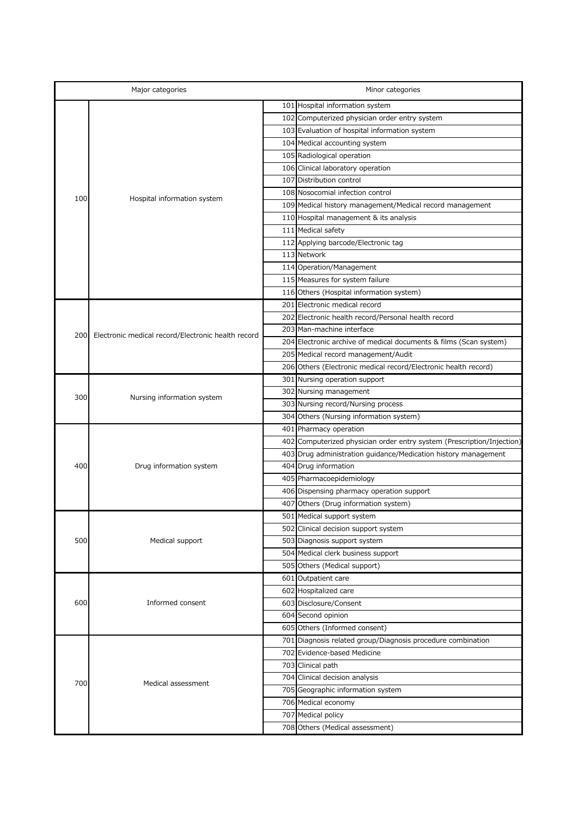| Major categories |                                                    |  | Minor categories                                                       |  |
|------------------|----------------------------------------------------|--|------------------------------------------------------------------------|--|
|                  | Hospital information system                        |  | 101 Hospital information system                                        |  |
|                  |                                                    |  | 102 Computerized physician order entry system                          |  |
|                  |                                                    |  | 103 Evaluation of hospital information system                          |  |
|                  |                                                    |  | 104 Medical accounting system                                          |  |
|                  |                                                    |  | 105 Radiological operation                                             |  |
|                  |                                                    |  | 106 Clinical laboratory operation                                      |  |
|                  |                                                    |  | 107 Distribution control                                               |  |
|                  |                                                    |  | 108 Nosocomial infection control                                       |  |
| 100              |                                                    |  | 109 Medical history management/Medical record management               |  |
|                  |                                                    |  | 110 Hospital management & its analysis                                 |  |
|                  |                                                    |  | 111 Medical safety                                                     |  |
|                  |                                                    |  | 112 Applying barcode/Electronic tag                                    |  |
|                  |                                                    |  | 113 Network                                                            |  |
|                  |                                                    |  | 114 Operation/Management                                               |  |
|                  |                                                    |  | 115 Measures for system failure                                        |  |
|                  |                                                    |  | 116 Others (Hospital information system)                               |  |
|                  |                                                    |  | 201 Electronic medical record                                          |  |
|                  |                                                    |  | 202 Electronic health record/Personal health record                    |  |
|                  | Electronic medical record/Electronic health record |  | 203 Man-machine interface                                              |  |
| 200              |                                                    |  | 204 Electronic archive of medical documents & films (Scan system)      |  |
|                  |                                                    |  | 205 Medical record management/Audit                                    |  |
|                  |                                                    |  | 206 Others (Electronic medical record/Electronic health record)        |  |
|                  | Nursing information system                         |  | 301 Nursing operation support                                          |  |
| 300              |                                                    |  | 302 Nursing management                                                 |  |
|                  |                                                    |  | 303 Nursing record/Nursing process                                     |  |
|                  |                                                    |  | 304 Others (Nursing information system)                                |  |
|                  | Drug information system                            |  | 401 Pharmacy operation                                                 |  |
|                  |                                                    |  | 402 Computerized physician order entry system (Prescription/Injection) |  |
|                  |                                                    |  | 403 Drug administration quidance/Medication history management         |  |
| 400              |                                                    |  | 404 Drug information                                                   |  |
|                  |                                                    |  | 405 Pharmacoepidemiology                                               |  |
|                  |                                                    |  | 406 Dispensing pharmacy operation support                              |  |
|                  |                                                    |  | 407 Others (Drug information system)                                   |  |
|                  | Medical support                                    |  | 501 Medical support system                                             |  |
|                  |                                                    |  | 502 Clinical decision support system                                   |  |
| 500              |                                                    |  | 503 Diagnosis support system                                           |  |
|                  |                                                    |  | 504 Medical clerk business support                                     |  |
|                  |                                                    |  | 505 Others (Medical support)                                           |  |
|                  |                                                    |  | 601 Outpatient care                                                    |  |
| 600              | Informed consent                                   |  | 602 Hospitalized care                                                  |  |
|                  |                                                    |  | 603 Disclosure/Consent                                                 |  |
|                  |                                                    |  | $604$ Second opinion                                                   |  |

|     |                    | 604 Second opinion                                          |
|-----|--------------------|-------------------------------------------------------------|
|     |                    | 605 Others (Informed consent)                               |
|     | Medical assessment | 701 Diagnosis related group/Diagnosis procedure combination |
| 700 |                    | 702 Evidence-based Medicine                                 |
|     |                    | 703 Clinical path                                           |
|     |                    | 704 Clinical decision analysis                              |
|     |                    | 705 Geographic information system                           |
|     |                    | 706 Medical economy                                         |
|     |                    | 707 Medical policy                                          |
|     |                    | 708 Others (Medical assessment)                             |